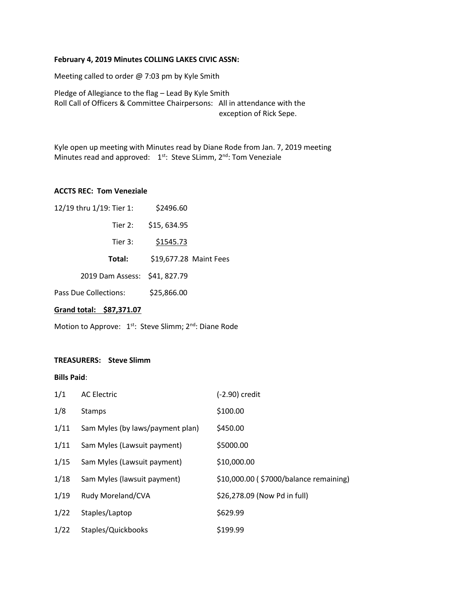## **February 4, 2019 Minutes COLLING LAKES CIVIC ASSN:**

Meeting called to order @ 7:03 pm by Kyle Smith

Pledge of Allegiance to the flag – Lead By Kyle Smith Roll Call of Officers & Committee Chairpersons: All in attendance with the exception of Rick Sepe.

Kyle open up meeting with Minutes read by Diane Rode from Jan. 7, 2019 meeting Minutes read and approved: 1<sup>st</sup>: Steve SLimm, 2<sup>nd</sup>: Tom Veneziale

## **ACCTS REC: Tom Veneziale**

| Grand total: \$87,371.07      |                        |  |  |  |
|-------------------------------|------------------------|--|--|--|
| Pass Due Collections:         | \$25,866.00            |  |  |  |
| 2019 Dam Assess: \$41, 827.79 |                        |  |  |  |
| Total:                        | \$19,677.28 Maint Fees |  |  |  |
| Tier 3:                       | \$1545.73              |  |  |  |
| Tier 2:                       | \$15,634.95            |  |  |  |
| 12/19 thru 1/19: Tier 1:      | \$2496.60              |  |  |  |

Motion to Approve: 1<sup>st</sup>: Steve Slimm; 2<sup>nd</sup>: Diane Rode

## **TREASURERS: Steve Slimm**

#### **Bills Paid**:

| 1/1  | <b>AC Electric</b>               | (-2.90) credit                         |
|------|----------------------------------|----------------------------------------|
| 1/8  | <b>Stamps</b>                    | \$100.00                               |
| 1/11 | Sam Myles (by laws/payment plan) | \$450.00                               |
| 1/11 | Sam Myles (Lawsuit payment)      | \$5000.00                              |
| 1/15 | Sam Myles (Lawsuit payment)      | \$10,000.00                            |
| 1/18 | Sam Myles (lawsuit payment)      | \$10,000.00 (\$7000/balance remaining) |
| 1/19 | Rudy Moreland/CVA                | \$26,278.09 (Now Pd in full)           |
| 1/22 | Staples/Laptop                   | \$629.99                               |
| 1/22 | Staples/Quickbooks               | \$199.99                               |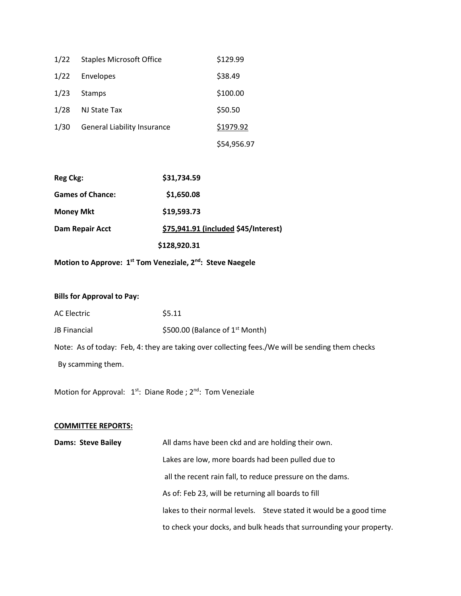| 1/22 | <b>Staples Microsoft Office</b>    | \$129.99    |
|------|------------------------------------|-------------|
| 1/22 | Envelopes                          | \$38.49     |
| 1/23 | Stamps                             | \$100.00    |
| 1/28 | NJ State Tax                       | \$50.50     |
| 1/30 | <b>General Liability Insurance</b> | \$1979.92   |
|      |                                    | \$54,956.97 |

| Reg Ckg:                | \$31,734.59                          |
|-------------------------|--------------------------------------|
| <b>Games of Chance:</b> | \$1,650.08                           |
| <b>Money Mkt</b>        | \$19,593.73                          |
| Dam Repair Acct         | \$75,941.91 (included \$45/Interest) |
|                         | \$128,920.31                         |

**Motion to Approve: 1st Tom Veneziale, 2nd: Steve Naegele**

# **Bills for Approval to Pay:**

| <b>AC Electric</b>  | \$5.11                            |
|---------------------|-----------------------------------|
| <b>JB Financial</b> | \$500.00 (Balance of $1st$ Month) |

Note: As of today: Feb, 4: they are taking over collecting fees./We will be sending them checks

By scamming them.

Motion for Approval: 1<sup>st</sup>: Diane Rode ; 2<sup>nd</sup>: Tom Veneziale

## **COMMITTEE REPORTS:**

| <b>Dams: Steve Bailey</b> | All dams have been ckd and are holding their own.                   |
|---------------------------|---------------------------------------------------------------------|
|                           | Lakes are low, more boards had been pulled due to                   |
|                           | all the recent rain fall, to reduce pressure on the dams.           |
|                           | As of: Feb 23, will be returning all boards to fill                 |
|                           | lakes to their normal levels. Steve stated it would be a good time  |
|                           | to check your docks, and bulk heads that surrounding your property. |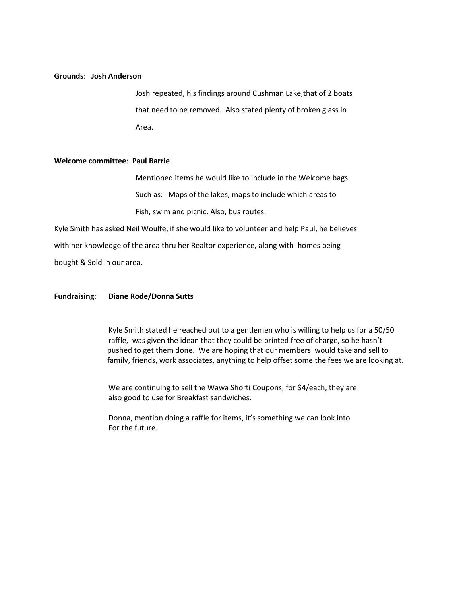## **Grounds**: **Josh Anderson**

Josh repeated, his findings around Cushman Lake,that of 2 boats that need to be removed. Also stated plenty of broken glass in Area.

#### **Welcome committee**: **Paul Barrie**

Mentioned items he would like to include in the Welcome bags Such as: Maps of the lakes, maps to include which areas to Fish, swim and picnic. Also, bus routes.

Kyle Smith has asked Neil Woulfe, if she would like to volunteer and help Paul, he believes with her knowledge of the area thru her Realtor experience, along with homes being bought & Sold in our area.

## **Fundraising**: **Diane Rode/Donna Sutts**

Kyle Smith stated he reached out to a gentlemen who is willing to help us for a 50/50 raffle, was given the idean that they could be printed free of charge, so he hasn't pushed to get them done. We are hoping that our members would take and sell to family, friends, work associates, anything to help offset some the fees we are looking at.

We are continuing to sell the Wawa Shorti Coupons, for \$4/each, they are also good to use for Breakfast sandwiches.

Donna, mention doing a raffle for items, it's something we can look into For the future.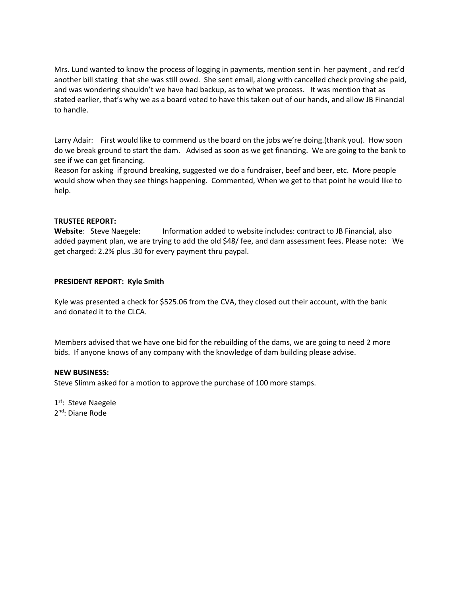Mrs. Lund wanted to know the process of logging in payments, mention sent in her payment , and rec'd another bill stating that she was still owed. She sent email, along with cancelled check proving she paid, and was wondering shouldn't we have had backup, as to what we process. It was mention that as stated earlier, that's why we as a board voted to have this taken out of our hands, and allow JB Financial to handle.

Larry Adair: First would like to commend us the board on the jobs we're doing.(thank you). How soon do we break ground to start the dam. Advised as soon as we get financing. We are going to the bank to see if we can get financing.

Reason for asking if ground breaking, suggested we do a fundraiser, beef and beer, etc. More people would show when they see things happening. Commented, When we get to that point he would like to help.

## **TRUSTEE REPORT:**

Website: Steve Naegele: Information added to website includes: contract to JB Financial, also added payment plan, we are trying to add the old \$48/ fee, and dam assessment fees. Please note: We get charged: 2.2% plus .30 for every payment thru paypal.

## **PRESIDENT REPORT: Kyle Smith**

Kyle was presented a check for \$525.06 from the CVA, they closed out their account, with the bank and donated it to the CLCA.

Members advised that we have one bid for the rebuilding of the dams, we are going to need 2 more bids. If anyone knows of any company with the knowledge of dam building please advise.

## **NEW BUSINESS:**

Steve Slimm asked for a motion to approve the purchase of 100 more stamps.

1<sup>st</sup>: Steve Naegele 2<sup>nd</sup>: Diane Rode